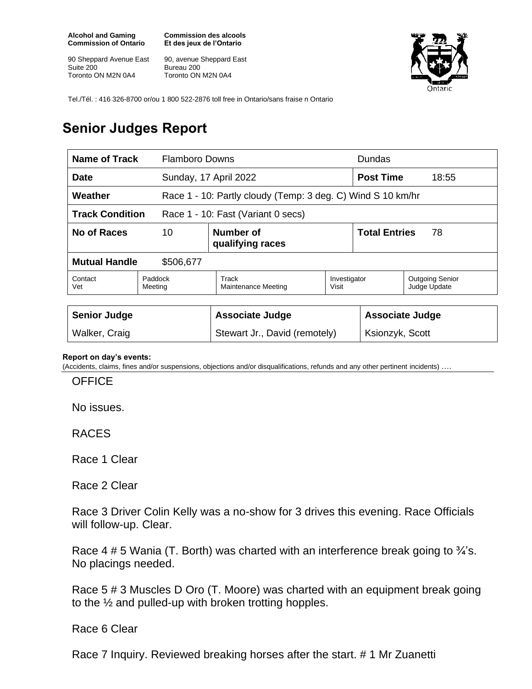**Alcohol and Gaming Commission of Ontario**

90 Sheppard Avenue East Suite 200 Toronto ON M2N 0A4

**Commission des alcools Et des jeux de l'Ontario**

90, avenue Sheppard East Bureau 200 Toronto ON M2N 0A4



Tel./Tél. : 416 326-8700 or/ou 1 800 522-2876 toll free in Ontario/sans fraise n Ontario

## **Senior Judges Report**

| Name of Track<br><b>Flamboro Downs</b>                       |                    |                                                             |                       | <b>Dundas</b>              |                                        |
|--------------------------------------------------------------|--------------------|-------------------------------------------------------------|-----------------------|----------------------------|----------------------------------------|
| <b>Date</b>                                                  |                    | Sunday, 17 April 2022                                       |                       | <b>Post Time</b><br>18:55  |                                        |
| Weather                                                      |                    | Race 1 - 10: Partly cloudy (Temp: 3 deg. C) Wind S 10 km/hr |                       |                            |                                        |
| <b>Track Condition</b><br>Race 1 - 10: Fast (Variant 0 secs) |                    |                                                             |                       |                            |                                        |
| No of Races<br>10                                            |                    | Number of<br>qualifying races                               |                       | <b>Total Entries</b><br>78 |                                        |
| <b>Mutual Handle</b><br>\$506,677                            |                    |                                                             |                       |                            |                                        |
| Contact<br>Vet                                               | Paddock<br>Meeting | Track<br>Maintenance Meeting                                | Investigator<br>Visit |                            | <b>Outgoing Senior</b><br>Judge Update |
| <b>Senior Judge</b>                                          |                    | <b>Associate Judge</b>                                      |                       | <b>Associate Judge</b>     |                                        |
| Walker, Craig                                                |                    | Stewart Jr., David (remotely)                               |                       | Ksionzyk, Scott            |                                        |

## **Report on day's events:**

(Accidents, claims, fines and/or suspensions, objections and/or disqualifications, refunds and any other pertinent incidents) ….

**OFFICE** 

No issues.

RACES

Race 1 Clear

Race 2 Clear

Race 3 Driver Colin Kelly was a no-show for 3 drives this evening. Race Officials will follow-up. Clear.

Race 4 # 5 Wania (T. Borth) was charted with an interference break going to  $\frac{3}{4}$ 's. No placings needed.

Race 5 # 3 Muscles D Oro (T. Moore) was charted with an equipment break going to the ½ and pulled-up with broken trotting hopples.

Race 6 Clear

Race 7 Inquiry. Reviewed breaking horses after the start. # 1 Mr Zuanetti